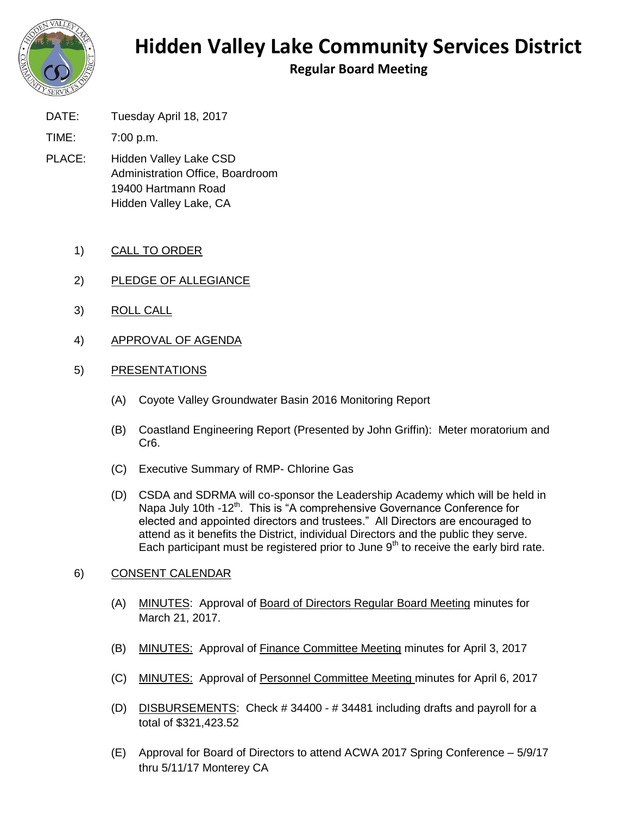

## **Hidden Valley Lake Community Services District**

**Regular Board Meeting**

DATE: Tuesday April 18, 2017

TIME: 7:00 p.m.

- PLACE: Hidden Valley Lake CSD Administration Office, Boardroom 19400 Hartmann Road Hidden Valley Lake, CA
	- 1) CALL TO ORDER
	- 2) PLEDGE OF ALLEGIANCE
	- 3) ROLL CALL
	- 4) APPROVAL OF AGENDA

## 5) PRESENTATIONS

- (A) Coyote Valley Groundwater Basin 2016 Monitoring Report
- (B) Coastland Engineering Report (Presented by John Griffin): Meter moratorium and Cr6.
- (C) Executive Summary of RMP- Chlorine Gas
- (D) CSDA and SDRMA will co-sponsor the Leadership Academy which will be held in Napa July 10th -12<sup>th</sup>. This is "A comprehensive Governance Conference for elected and appointed directors and trustees." All Directors are encouraged to attend as it benefits the District, individual Directors and the public they serve. Each participant must be registered prior to June  $9<sup>th</sup>$  to receive the early bird rate.

## 6) CONSENT CALENDAR

- (A) MINUTES: Approval of Board of Directors Regular Board Meeting minutes for March 21, 2017.
- (B) MINUTES: Approval of Finance Committee Meeting minutes for April 3, 2017
- (C) MINUTES: Approval of Personnel Committee Meeting minutes for April 6, 2017
- (D) DISBURSEMENTS: Check # 34400 # 34481 including drafts and payroll for a total of \$321,423.52
- (E) Approval for Board of Directors to attend ACWA 2017 Spring Conference 5/9/17 thru 5/11/17 Monterey CA